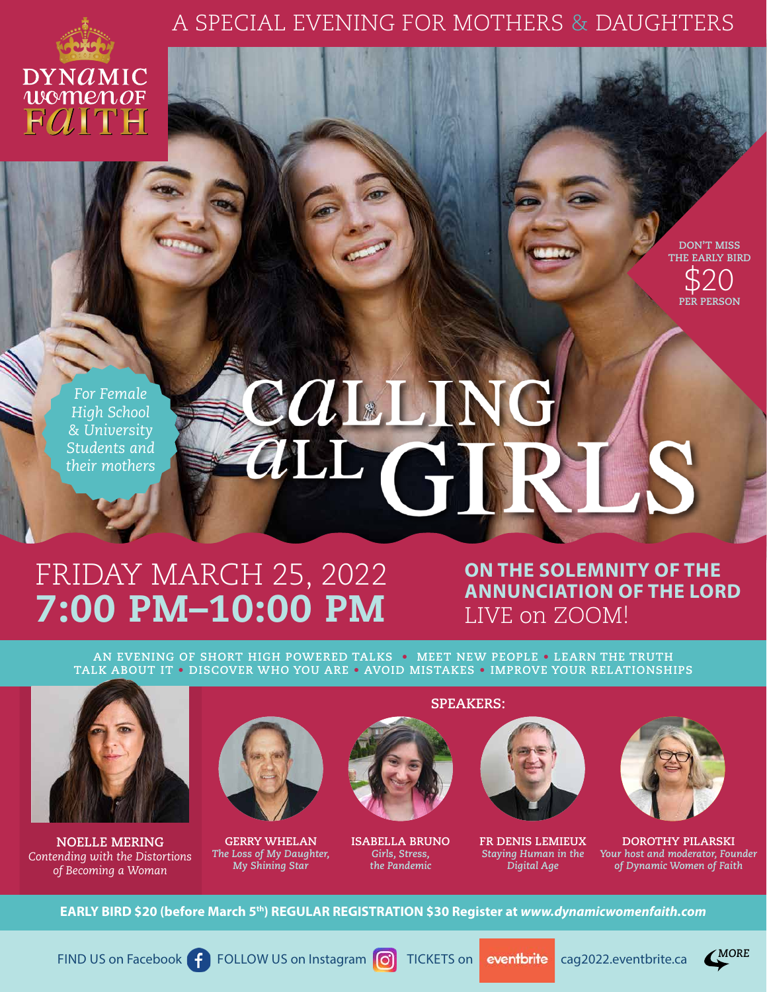### A SPECIAL EVENING FOR MOTHERS & DAUGHTERS



**DON'T MISS THE EARLY BIRD** \$20 **PER PERSON**

*For Female High School & University Students and their mothers* 

# CALLIN aur G

# FRIDAY MARCH 25, 2022 7:00 PM–10:00 PM

## **ON THE SOLEMNITY OF THE ANNUNCIATION OF THE LORD** LIVE on ZOOM!

**AN EVENING OF SHORT HIGH POWERED TALKS • MEET NEW PEOPLE • LEARN THE TRUTH TALK ABOUT IT • DISCOVER WHO YOU ARE • AVOID MISTAKES • IMPROVE YOUR RELATIONSHIPS**



**NOELLE MERING** *Contending with the Distortions of Becoming a Woman*



**GERRY WHELAN** *The Loss of My Daughter, My Shining Star*



**ISABELLA BRUNO** *Girls, Stress, the Pandemic*





**FR DENIS LEMIEUX** *Staying Human in the Digital Age*



**DOROTHY PILARSKI** *Your host and moderator, Founder of Dynamic Women of Faith*

**EARLY BIRD \$20 (before March 5th) REGULAR REGISTRATION \$30 Register at** *[www.dynamicwomenfaith.com](https://dynamicwomenfaith.com/)*

FIND US on Facebook **f** [FOLLOW US on Instagram](https://www.instagram.com/dynamicwomenfaith/) **TICKETS** on **eventbrite** [cag2022.eventbrite.ca](https://cag2022.eventbrite.ca)